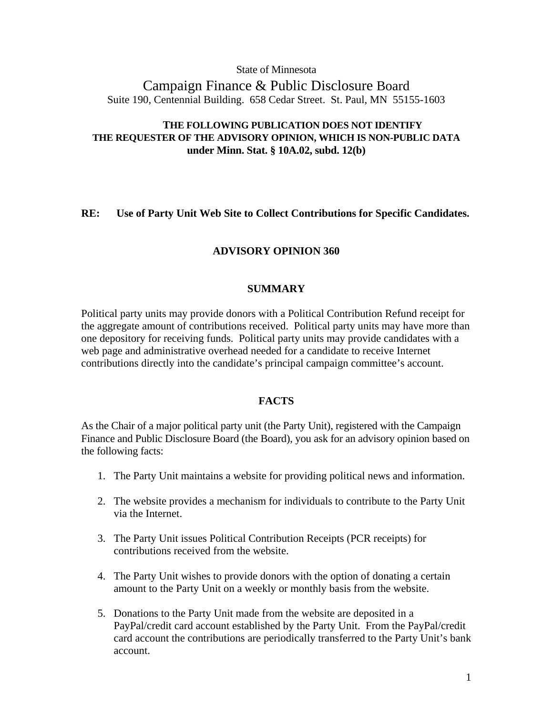State of Minnesota

Campaign Finance & Public Disclosure Board Suite 190, Centennial Building. 658 Cedar Street. St. Paul, MN 55155-1603

# **THE FOLLOWING PUBLICATION DOES NOT IDENTIFY THE REQUESTER OF THE ADVISORY OPINION, WHICH IS NON-PUBLIC DATA under Minn. Stat. § 10A.02, subd. 12(b)**

### **RE: Use of Party Unit Web Site to Collect Contributions for Specific Candidates.**

# **ADVISORY OPINION 360**

### **SUMMARY**

Political party units may provide donors with a Political Contribution Refund receipt for the aggregate amount of contributions received. Political party units may have more than one depository for receiving funds. Political party units may provide candidates with a web page and administrative overhead needed for a candidate to receive Internet contributions directly into the candidate's principal campaign committee's account.

### **FACTS**

As the Chair of a major political party unit (the Party Unit), registered with the Campaign Finance and Public Disclosure Board (the Board), you ask for an advisory opinion based on the following facts:

- 1. The Party Unit maintains a website for providing political news and information.
- 2. The website provides a mechanism for individuals to contribute to the Party Unit via the Internet.
- 3. The Party Unit issues Political Contribution Receipts (PCR receipts) for contributions received from the website.
- 4. The Party Unit wishes to provide donors with the option of donating a certain amount to the Party Unit on a weekly or monthly basis from the website.
- 5. Donations to the Party Unit made from the website are deposited in a PayPal/credit card account established by the Party Unit. From the PayPal/credit card account the contributions are periodically transferred to the Party Unit's bank account.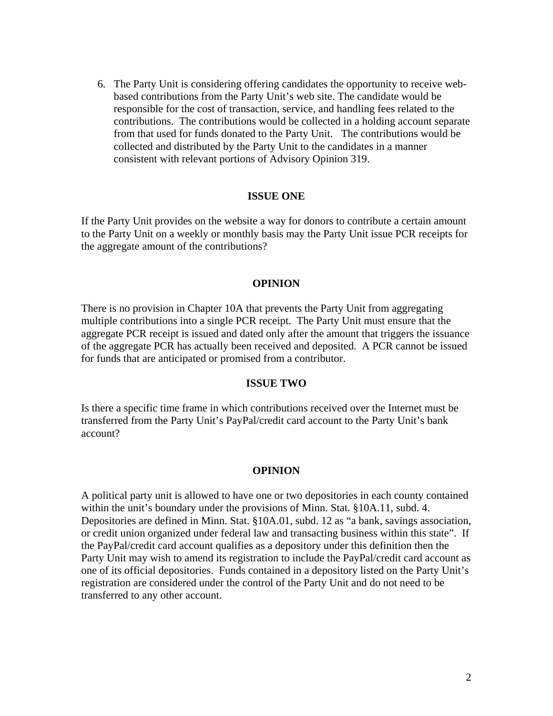6. The Party Unit is considering offering candidates the opportunity to receive webbased contributions from the Party Unit's web site. The candidate would be responsible for the cost of transaction, service, and handling fees related to the contributions. The contributions would be collected in a holding account separate from that used for funds donated to the Party Unit. The contributions would be collected and distributed by the Party Unit to the candidates in a manner consistent with relevant portions of Advisory Opinion 319.

### **ISSUE ONE**

If the Party Unit provides on the website a way for donors to contribute a certain amount to the Party Unit on a weekly or monthly basis may the Party Unit issue PCR receipts for the aggregate amount of the contributions?

### **OPINION**

There is no provision in Chapter 10A that prevents the Party Unit from aggregating multiple contributions into a single PCR receipt. The Party Unit must ensure that the aggregate PCR receipt is issued and dated only after the amount that triggers the issuance of the aggregate PCR has actually been received and deposited. A PCR cannot be issued for funds that are anticipated or promised from a contributor.

### **ISSUE TWO**

Is there a specific time frame in which contributions received over the Internet must be transferred from the Party Unit's PayPal/credit card account to the Party Unit's bank account?

#### **OPINION**

A political party unit is allowed to have one or two depositories in each county contained within the unit's boundary under the provisions of Minn. Stat. §10A.11, subd. 4. Depositories are defined in Minn. Stat. §10A.01, subd. 12 as "a bank, savings association, or credit union organized under federal law and transacting business within this state". If the PayPal/credit card account qualifies as a depository under this definition then the Party Unit may wish to amend its registration to include the PayPal/credit card account as one of its official depositories. Funds contained in a depository listed on the Party Unit's registration are considered under the control of the Party Unit and do not need to be transferred to any other account.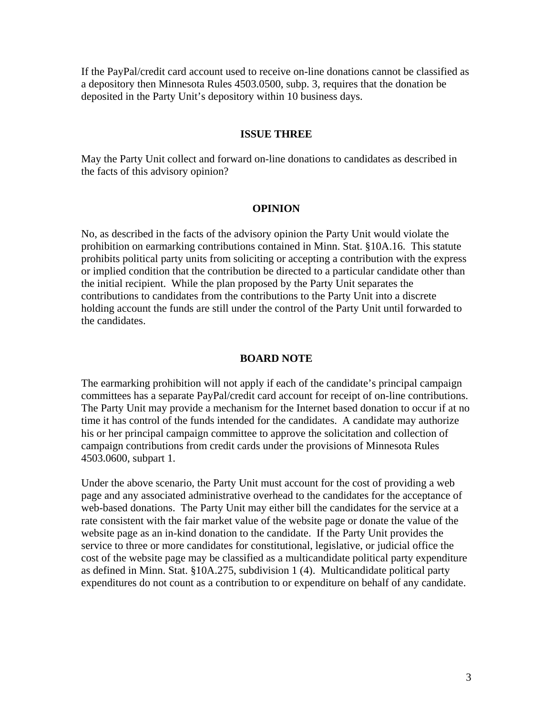If the PayPal/credit card account used to receive on-line donations cannot be classified as a depository then Minnesota Rules 4503.0500, subp. 3, requires that the donation be deposited in the Party Unit's depository within 10 business days.

### **ISSUE THREE**

May the Party Unit collect and forward on-line donations to candidates as described in the facts of this advisory opinion?

#### **OPINION**

No, as described in the facts of the advisory opinion the Party Unit would violate the prohibition on earmarking contributions contained in Minn. Stat. §10A.16. This statute prohibits political party units from soliciting or accepting a contribution with the express or implied condition that the contribution be directed to a particular candidate other than the initial recipient. While the plan proposed by the Party Unit separates the contributions to candidates from the contributions to the Party Unit into a discrete holding account the funds are still under the control of the Party Unit until forwarded to the candidates.

#### **BOARD NOTE**

The earmarking prohibition will not apply if each of the candidate's principal campaign committees has a separate PayPal/credit card account for receipt of on-line contributions. The Party Unit may provide a mechanism for the Internet based donation to occur if at no time it has control of the funds intended for the candidates. A candidate may authorize his or her principal campaign committee to approve the solicitation and collection of campaign contributions from credit cards under the provisions of Minnesota Rules 4503.0600, subpart 1.

Under the above scenario, the Party Unit must account for the cost of providing a web page and any associated administrative overhead to the candidates for the acceptance of web-based donations. The Party Unit may either bill the candidates for the service at a rate consistent with the fair market value of the website page or donate the value of the website page as an in-kind donation to the candidate. If the Party Unit provides the service to three or more candidates for constitutional, legislative, or judicial office the cost of the website page may be classified as a multicandidate political party expenditure as defined in Minn. Stat. §10A.275, subdivision 1 (4). Multicandidate political party expenditures do not count as a contribution to or expenditure on behalf of any candidate.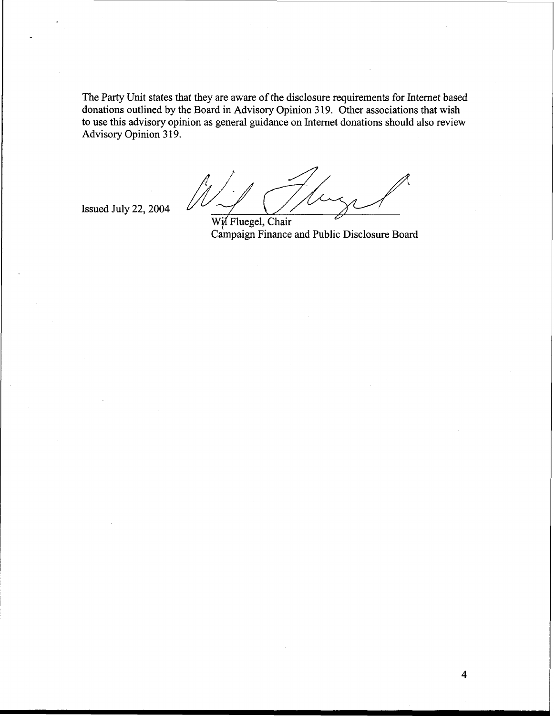The Party Unit states that they are aware of the disclosure requirements for Internet based donations outlined by the Board in Advisory Opinion **3** 19. Other associations that wish to use this advisory opinion as general guidance on Internet donations should also review Advisory Opinion **3** 19.

Issued July **22,2004** 

Wil Fluegel, Chair Campaign Finance and Public Disclosure Board

 $\overline{\mathbf{4}}$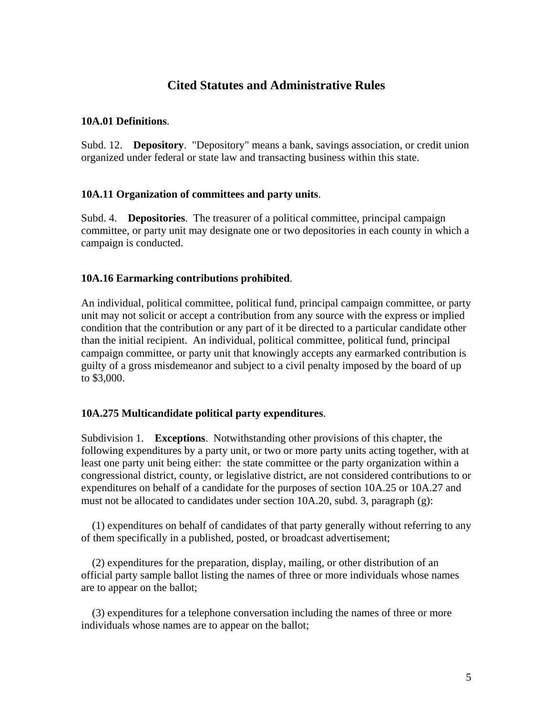# **Cited Statutes and Administrative Rules**

# **10A.01 Definitions**.

Subd. 12. **Depository**. "Depository" means a bank, savings association, or credit union organized under federal or state law and transacting business within this state.

# **10A.11 Organization of committees and party units**.

Subd. 4. **Depositories**. The treasurer of a political committee, principal campaign committee, or party unit may designate one or two depositories in each county in which a campaign is conducted.

# **10A.16 Earmarking contributions prohibited**.

An individual, political committee, political fund, principal campaign committee, or party unit may not solicit or accept a contribution from any source with the express or implied condition that the contribution or any part of it be directed to a particular candidate other than the initial recipient. An individual, political committee, political fund, principal campaign committee, or party unit that knowingly accepts any earmarked contribution is guilty of a gross misdemeanor and subject to a civil penalty imposed by the board of up to \$3,000.

### **10A.275 Multicandidate political party expenditures**.

Subdivision 1. **Exceptions**. Notwithstanding other provisions of this chapter, the following expenditures by a party unit, or two or more party units acting together, with at least one party unit being either: the state committee or the party organization within a congressional district, county, or legislative district, are not considered contributions to or expenditures on behalf of a candidate for the purposes of section 10A.25 or 10A.27 and must not be allocated to candidates under section 10A.20, subd. 3, paragraph (g):

 (1) expenditures on behalf of candidates of that party generally without referring to any of them specifically in a published, posted, or broadcast advertisement;

 (2) expenditures for the preparation, display, mailing, or other distribution of an official party sample ballot listing the names of three or more individuals whose names are to appear on the ballot;

 (3) expenditures for a telephone conversation including the names of three or more individuals whose names are to appear on the ballot;